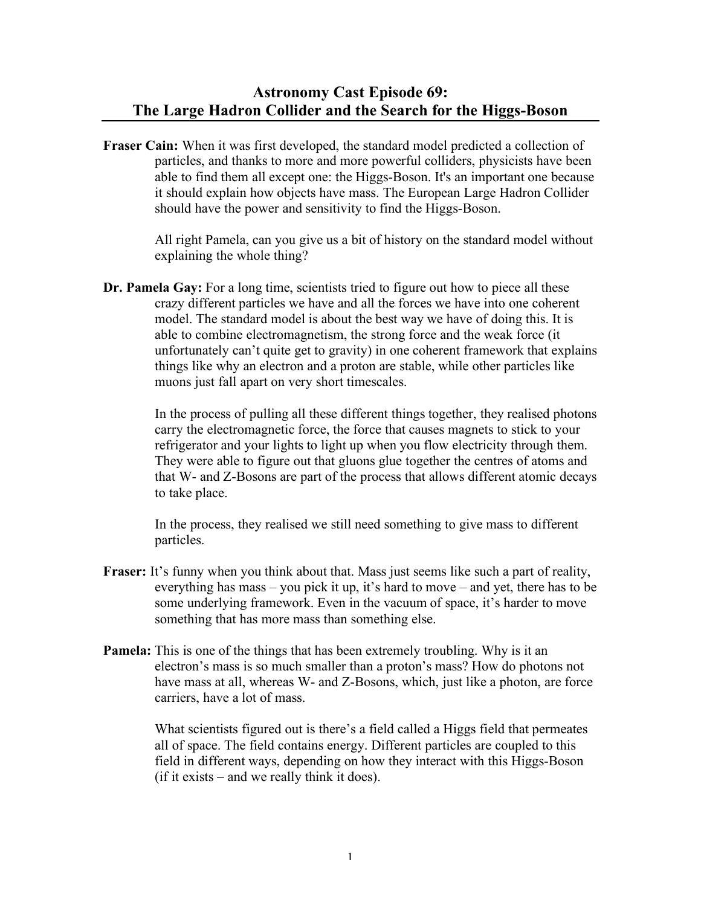## **Astronomy Cast Episode 69: The Large Hadron Collider and the Search for the Higgs-Boson**

**Fraser Cain:** When it was first developed, the standard model predicted a collection of particles, and thanks to more and more powerful colliders, physicists have been able to find them all except one: the Higgs-Boson. It's an important one because it should explain how objects have mass. The European Large Hadron Collider should have the power and sensitivity to find the Higgs-Boson.

> All right Pamela, can you give us a bit of history on the standard model without explaining the whole thing?

**Dr. Pamela Gay:** For a long time, scientists tried to figure out how to piece all these crazy different particles we have and all the forces we have into one coherent model. The standard model is about the best way we have of doing this. It is able to combine electromagnetism, the strong force and the weak force (it unfortunately can't quite get to gravity) in one coherent framework that explains things like why an electron and a proton are stable, while other particles like muons just fall apart on very short timescales.

> In the process of pulling all these different things together, they realised photons carry the electromagnetic force, the force that causes magnets to stick to your refrigerator and your lights to light up when you flow electricity through them. They were able to figure out that gluons glue together the centres of atoms and that W- and Z-Bosons are part of the process that allows different atomic decays to take place.

In the process, they realised we still need something to give mass to different particles.

- **Fraser:** It's funny when you think about that. Mass just seems like such a part of reality, everything has mass – you pick it up, it's hard to move – and yet, there has to be some underlying framework. Even in the vacuum of space, it's harder to move something that has more mass than something else.
- **Pamela:** This is one of the things that has been extremely troubling. Why is it an electron's mass is so much smaller than a proton's mass? How do photons not have mass at all, whereas W- and Z-Bosons, which, just like a photon, are force carriers, have a lot of mass.

What scientists figured out is there's a field called a Higgs field that permeates all of space. The field contains energy. Different particles are coupled to this field in different ways, depending on how they interact with this Higgs-Boson (if it exists – and we really think it does).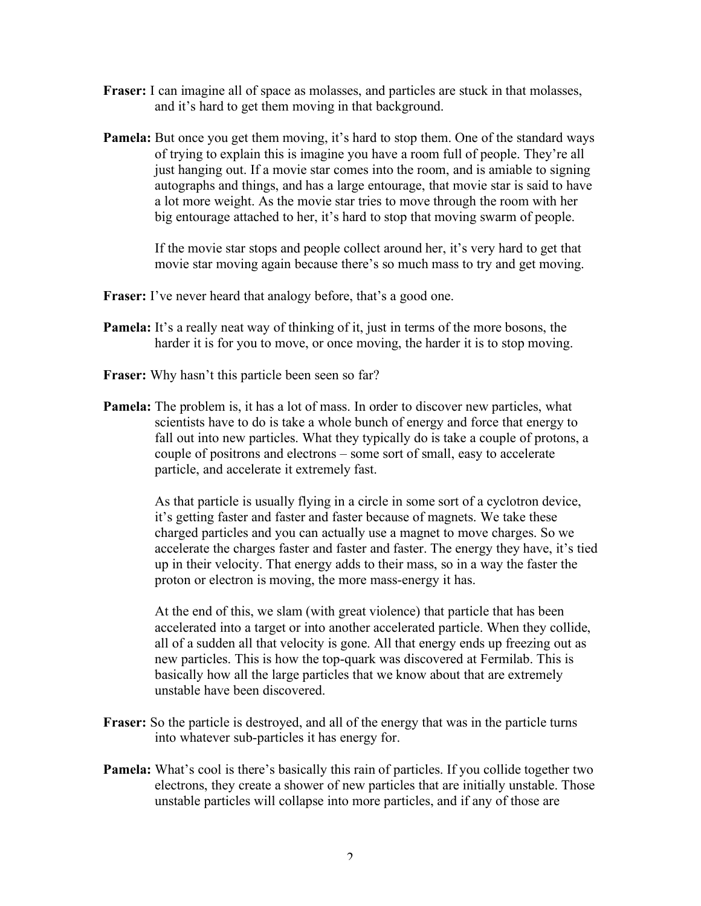- **Fraser:** I can imagine all of space as molasses, and particles are stuck in that molasses, and it's hard to get them moving in that background.
- **Pamela:** But once you get them moving, it's hard to stop them. One of the standard ways of trying to explain this is imagine you have a room full of people. They're all just hanging out. If a movie star comes into the room, and is amiable to signing autographs and things, and has a large entourage, that movie star is said to have a lot more weight. As the movie star tries to move through the room with her big entourage attached to her, it's hard to stop that moving swarm of people.

If the movie star stops and people collect around her, it's very hard to get that movie star moving again because there's so much mass to try and get moving.

- **Fraser:** I've never heard that analogy before, that's a good one.
- **Pamela:** It's a really neat way of thinking of it, just in terms of the more bosons, the harder it is for you to move, or once moving, the harder it is to stop moving.
- **Fraser:** Why hasn't this particle been seen so far?
- **Pamela:** The problem is, it has a lot of mass. In order to discover new particles, what scientists have to do is take a whole bunch of energy and force that energy to fall out into new particles. What they typically do is take a couple of protons, a couple of positrons and electrons – some sort of small, easy to accelerate particle, and accelerate it extremely fast.

As that particle is usually flying in a circle in some sort of a cyclotron device, it's getting faster and faster and faster because of magnets. We take these charged particles and you can actually use a magnet to move charges. So we accelerate the charges faster and faster and faster. The energy they have, it's tied up in their velocity. That energy adds to their mass, so in a way the faster the proton or electron is moving, the more mass-energy it has.

At the end of this, we slam (with great violence) that particle that has been accelerated into a target or into another accelerated particle. When they collide, all of a sudden all that velocity is gone. All that energy ends up freezing out as new particles. This is how the top-quark was discovered at Fermilab. This is basically how all the large particles that we know about that are extremely unstable have been discovered.

- **Fraser:** So the particle is destroyed, and all of the energy that was in the particle turns into whatever sub-particles it has energy for.
- **Pamela:** What's cool is there's basically this rain of particles. If you collide together two electrons, they create a shower of new particles that are initially unstable. Those unstable particles will collapse into more particles, and if any of those are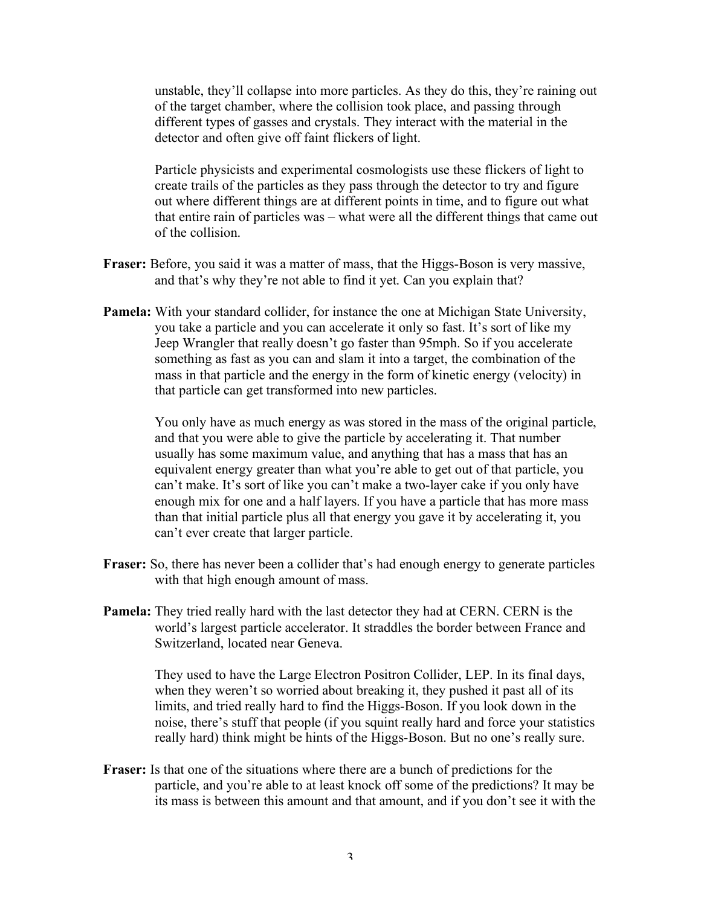unstable, they'll collapse into more particles. As they do this, they're raining out of the target chamber, where the collision took place, and passing through different types of gasses and crystals. They interact with the material in the detector and often give off faint flickers of light.

Particle physicists and experimental cosmologists use these flickers of light to create trails of the particles as they pass through the detector to try and figure out where different things are at different points in time, and to figure out what that entire rain of particles was – what were all the different things that came out of the collision.

- **Fraser:** Before, you said it was a matter of mass, that the Higgs-Boson is very massive, and that's why they're not able to find it yet. Can you explain that?
- **Pamela:** With your standard collider, for instance the one at Michigan State University, you take a particle and you can accelerate it only so fast. It's sort of like my Jeep Wrangler that really doesn't go faster than 95mph. So if you accelerate something as fast as you can and slam it into a target, the combination of the mass in that particle and the energy in the form of kinetic energy (velocity) in that particle can get transformed into new particles.

You only have as much energy as was stored in the mass of the original particle, and that you were able to give the particle by accelerating it. That number usually has some maximum value, and anything that has a mass that has an equivalent energy greater than what you're able to get out of that particle, you can't make. It's sort of like you can't make a two-layer cake if you only have enough mix for one and a half layers. If you have a particle that has more mass than that initial particle plus all that energy you gave it by accelerating it, you can't ever create that larger particle.

- **Fraser:** So, there has never been a collider that's had enough energy to generate particles with that high enough amount of mass.
- **Pamela:** They tried really hard with the last detector they had at CERN. CERN is the world's largest particle accelerator. It straddles the border between France and Switzerland, located near Geneva.

They used to have the Large Electron Positron Collider, LEP. In its final days, when they weren't so worried about breaking it, they pushed it past all of its limits, and tried really hard to find the Higgs-Boson. If you look down in the noise, there's stuff that people (if you squint really hard and force your statistics really hard) think might be hints of the Higgs-Boson. But no one's really sure.

**Fraser:** Is that one of the situations where there are a bunch of predictions for the particle, and you're able to at least knock off some of the predictions? It may be its mass is between this amount and that amount, and if you don't see it with the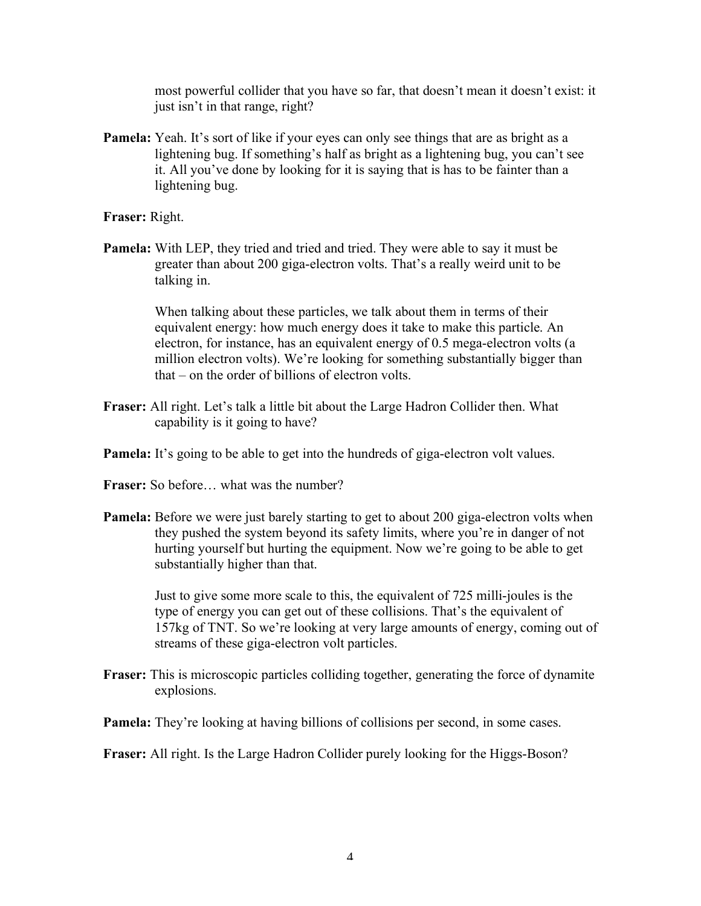most powerful collider that you have so far, that doesn't mean it doesn't exist: it just isn't in that range, right?

**Pamela:** Yeah. It's sort of like if your eyes can only see things that are as bright as a lightening bug. If something's half as bright as a lightening bug, you can't see it. All you've done by looking for it is saying that is has to be fainter than a lightening bug.

**Fraser:** Right.

**Pamela:** With LEP, they tried and tried and tried. They were able to say it must be greater than about 200 giga-electron volts. That's a really weird unit to be talking in.

> When talking about these particles, we talk about them in terms of their equivalent energy: how much energy does it take to make this particle. An electron, for instance, has an equivalent energy of 0.5 mega-electron volts (a million electron volts). We're looking for something substantially bigger than that – on the order of billions of electron volts.

- **Fraser:** All right. Let's talk a little bit about the Large Hadron Collider then. What capability is it going to have?
- **Pamela:** It's going to be able to get into the hundreds of giga-electron volt values.
- **Fraser:** So before… what was the number?
- **Pamela:** Before we were just barely starting to get to about 200 giga-electron volts when they pushed the system beyond its safety limits, where you're in danger of not hurting yourself but hurting the equipment. Now we're going to be able to get substantially higher than that.

Just to give some more scale to this, the equivalent of 725 milli-joules is the type of energy you can get out of these collisions. That's the equivalent of 157kg of TNT. So we're looking at very large amounts of energy, coming out of streams of these giga-electron volt particles.

- **Fraser:** This is microscopic particles colliding together, generating the force of dynamite explosions.
- **Pamela:** They're looking at having billions of collisions per second, in some cases.

**Fraser:** All right. Is the Large Hadron Collider purely looking for the Higgs-Boson?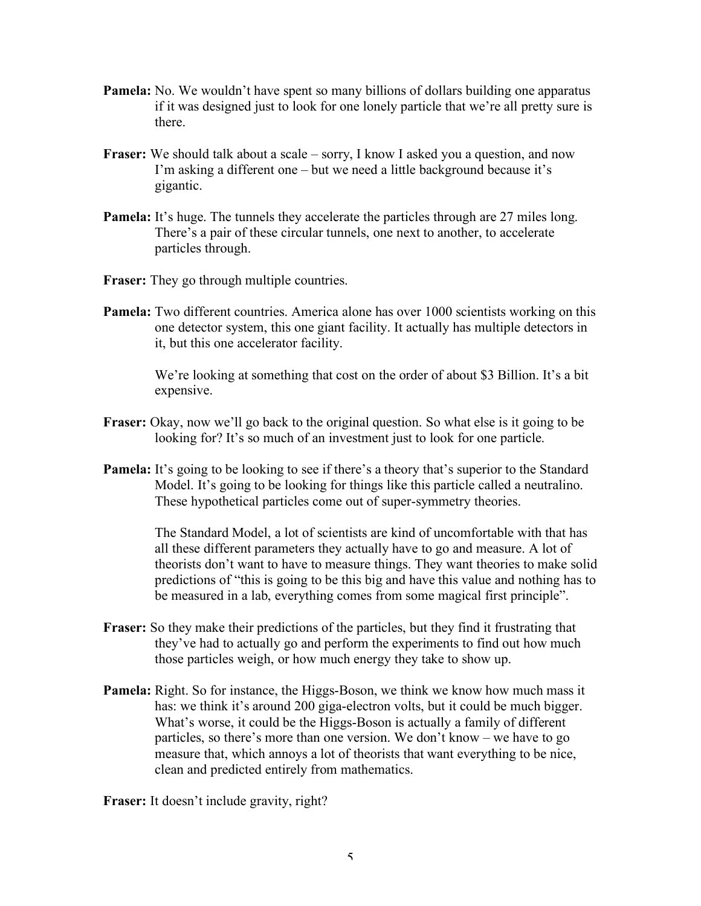- **Pamela:** No. We wouldn't have spent so many billions of dollars building one apparatus if it was designed just to look for one lonely particle that we're all pretty sure is there.
- **Fraser:** We should talk about a scale sorry, I know I asked you a question, and now I'm asking a different one – but we need a little background because it's gigantic.
- **Pamela:** It's huge. The tunnels they accelerate the particles through are 27 miles long. There's a pair of these circular tunnels, one next to another, to accelerate particles through.
- **Fraser:** They go through multiple countries.
- **Pamela:** Two different countries. America alone has over 1000 scientists working on this one detector system, this one giant facility. It actually has multiple detectors in it, but this one accelerator facility.

We're looking at something that cost on the order of about \$3 Billion. It's a bit expensive.

- **Fraser:** Okay, now we'll go back to the original question. So what else is it going to be looking for? It's so much of an investment just to look for one particle.
- **Pamela:** It's going to be looking to see if there's a theory that's superior to the Standard Model. It's going to be looking for things like this particle called a neutralino. These hypothetical particles come out of super-symmetry theories.

The Standard Model, a lot of scientists are kind of uncomfortable with that has all these different parameters they actually have to go and measure. A lot of theorists don't want to have to measure things. They want theories to make solid predictions of "this is going to be this big and have this value and nothing has to be measured in a lab, everything comes from some magical first principle".

- **Fraser:** So they make their predictions of the particles, but they find it frustrating that they've had to actually go and perform the experiments to find out how much those particles weigh, or how much energy they take to show up.
- **Pamela:** Right. So for instance, the Higgs-Boson, we think we know how much mass it has: we think it's around 200 giga-electron volts, but it could be much bigger. What's worse, it could be the Higgs-Boson is actually a family of different particles, so there's more than one version. We don't know – we have to go measure that, which annoys a lot of theorists that want everything to be nice, clean and predicted entirely from mathematics.

**Fraser:** It doesn't include gravity, right?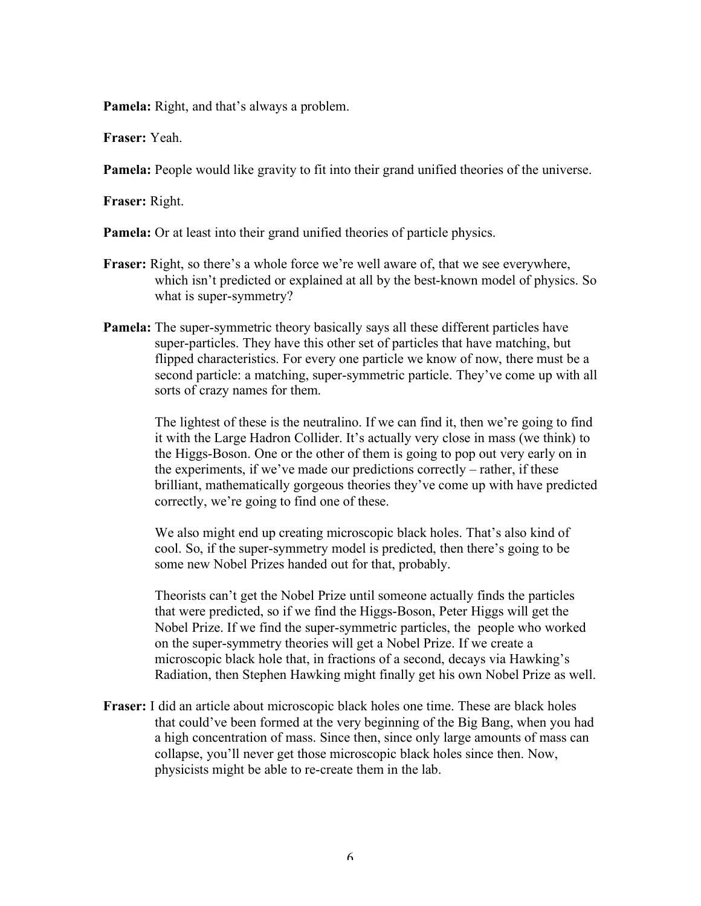**Pamela:** Right, and that's always a problem.

**Fraser:** Yeah.

**Pamela:** People would like gravity to fit into their grand unified theories of the universe.

**Fraser:** Right.

**Pamela:** Or at least into their grand unified theories of particle physics.

- **Fraser:** Right, so there's a whole force we're well aware of, that we see everywhere, which isn't predicted or explained at all by the best-known model of physics. So what is super-symmetry?
- **Pamela:** The super-symmetric theory basically says all these different particles have super-particles. They have this other set of particles that have matching, but flipped characteristics. For every one particle we know of now, there must be a second particle: a matching, super-symmetric particle. They've come up with all sorts of crazy names for them.

The lightest of these is the neutralino. If we can find it, then we're going to find it with the Large Hadron Collider. It's actually very close in mass (we think) to the Higgs-Boson. One or the other of them is going to pop out very early on in the experiments, if we've made our predictions correctly – rather, if these brilliant, mathematically gorgeous theories they've come up with have predicted correctly, we're going to find one of these.

We also might end up creating microscopic black holes. That's also kind of cool. So, if the super-symmetry model is predicted, then there's going to be some new Nobel Prizes handed out for that, probably.

Theorists can't get the Nobel Prize until someone actually finds the particles that were predicted, so if we find the Higgs-Boson, Peter Higgs will get the Nobel Prize. If we find the super-symmetric particles, the people who worked on the super-symmetry theories will get a Nobel Prize. If we create a microscopic black hole that, in fractions of a second, decays via Hawking's Radiation, then Stephen Hawking might finally get his own Nobel Prize as well.

**Fraser:** I did an article about microscopic black holes one time. These are black holes that could've been formed at the very beginning of the Big Bang, when you had a high concentration of mass. Since then, since only large amounts of mass can collapse, you'll never get those microscopic black holes since then. Now, physicists might be able to re-create them in the lab.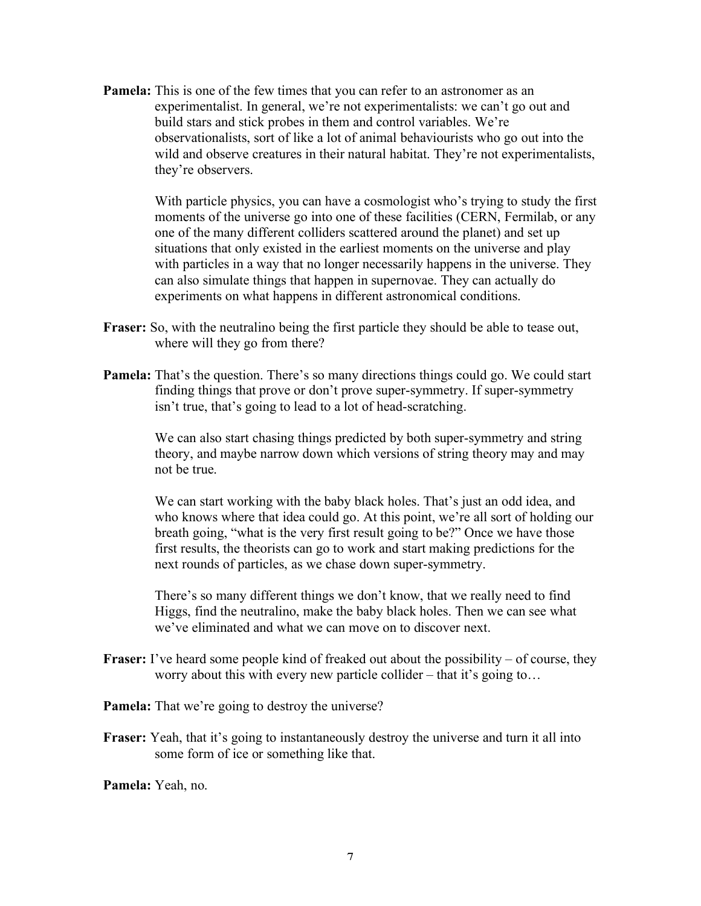**Pamela:** This is one of the few times that you can refer to an astronomer as an experimentalist. In general, we're not experimentalists: we can't go out and build stars and stick probes in them and control variables. We're observationalists, sort of like a lot of animal behaviourists who go out into the wild and observe creatures in their natural habitat. They're not experimentalists, they're observers.

> With particle physics, you can have a cosmologist who's trying to study the first moments of the universe go into one of these facilities (CERN, Fermilab, or any one of the many different colliders scattered around the planet) and set up situations that only existed in the earliest moments on the universe and play with particles in a way that no longer necessarily happens in the universe. They can also simulate things that happen in supernovae. They can actually do experiments on what happens in different astronomical conditions.

- **Fraser:** So, with the neutralino being the first particle they should be able to tease out, where will they go from there?
- **Pamela:** That's the question. There's so many directions things could go. We could start finding things that prove or don't prove super-symmetry. If super-symmetry isn't true, that's going to lead to a lot of head-scratching.

We can also start chasing things predicted by both super-symmetry and string theory, and maybe narrow down which versions of string theory may and may not be true.

We can start working with the baby black holes. That's just an odd idea, and who knows where that idea could go. At this point, we're all sort of holding our breath going, "what is the very first result going to be?" Once we have those first results, the theorists can go to work and start making predictions for the next rounds of particles, as we chase down super-symmetry.

There's so many different things we don't know, that we really need to find Higgs, find the neutralino, make the baby black holes. Then we can see what we've eliminated and what we can move on to discover next.

**Fraser:** I've heard some people kind of freaked out about the possibility – of course, they worry about this with every new particle collider – that it's going to…

**Pamela:** That we're going to destroy the universe?

**Fraser:** Yeah, that it's going to instantaneously destroy the universe and turn it all into some form of ice or something like that.

**Pamela:** Yeah, no.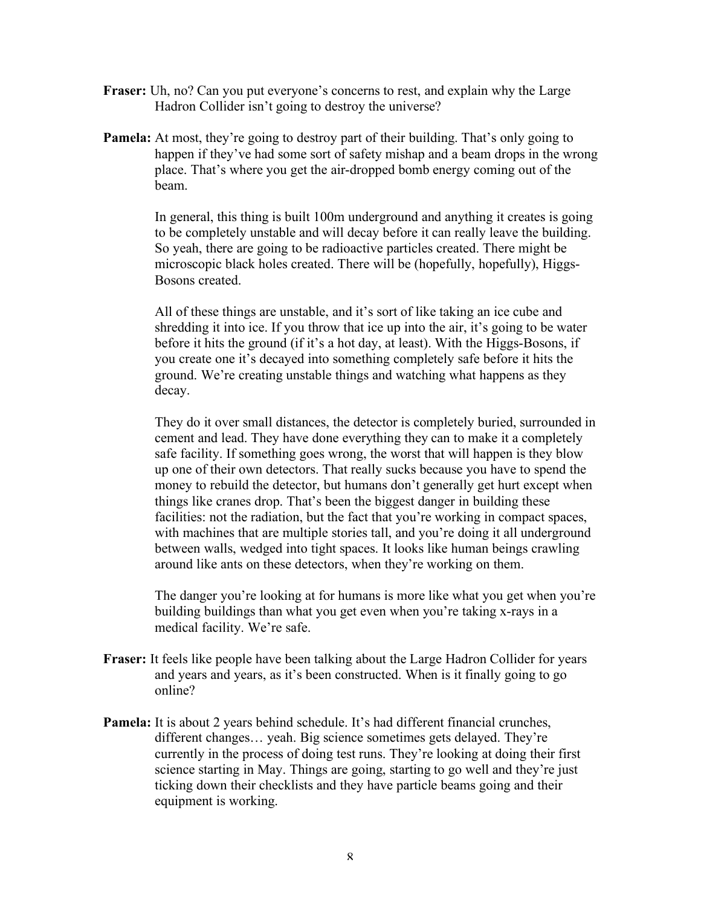- **Fraser:** Uh, no? Can you put everyone's concerns to rest, and explain why the Large Hadron Collider isn't going to destroy the universe?
- **Pamela:** At most, they're going to destroy part of their building. That's only going to happen if they've had some sort of safety mishap and a beam drops in the wrong place. That's where you get the air-dropped bomb energy coming out of the beam.

In general, this thing is built 100m underground and anything it creates is going to be completely unstable and will decay before it can really leave the building. So yeah, there are going to be radioactive particles created. There might be microscopic black holes created. There will be (hopefully, hopefully), Higgs-Bosons created.

All of these things are unstable, and it's sort of like taking an ice cube and shredding it into ice. If you throw that ice up into the air, it's going to be water before it hits the ground (if it's a hot day, at least). With the Higgs-Bosons, if you create one it's decayed into something completely safe before it hits the ground. We're creating unstable things and watching what happens as they decay.

They do it over small distances, the detector is completely buried, surrounded in cement and lead. They have done everything they can to make it a completely safe facility. If something goes wrong, the worst that will happen is they blow up one of their own detectors. That really sucks because you have to spend the money to rebuild the detector, but humans don't generally get hurt except when things like cranes drop. That's been the biggest danger in building these facilities: not the radiation, but the fact that you're working in compact spaces, with machines that are multiple stories tall, and you're doing it all underground between walls, wedged into tight spaces. It looks like human beings crawling around like ants on these detectors, when they're working on them.

The danger you're looking at for humans is more like what you get when you're building buildings than what you get even when you're taking x-rays in a medical facility. We're safe.

- **Fraser:** It feels like people have been talking about the Large Hadron Collider for years and years and years, as it's been constructed. When is it finally going to go online?
- **Pamela:** It is about 2 years behind schedule. It's had different financial crunches, different changes… yeah. Big science sometimes gets delayed. They're currently in the process of doing test runs. They're looking at doing their first science starting in May. Things are going, starting to go well and they're just ticking down their checklists and they have particle beams going and their equipment is working.